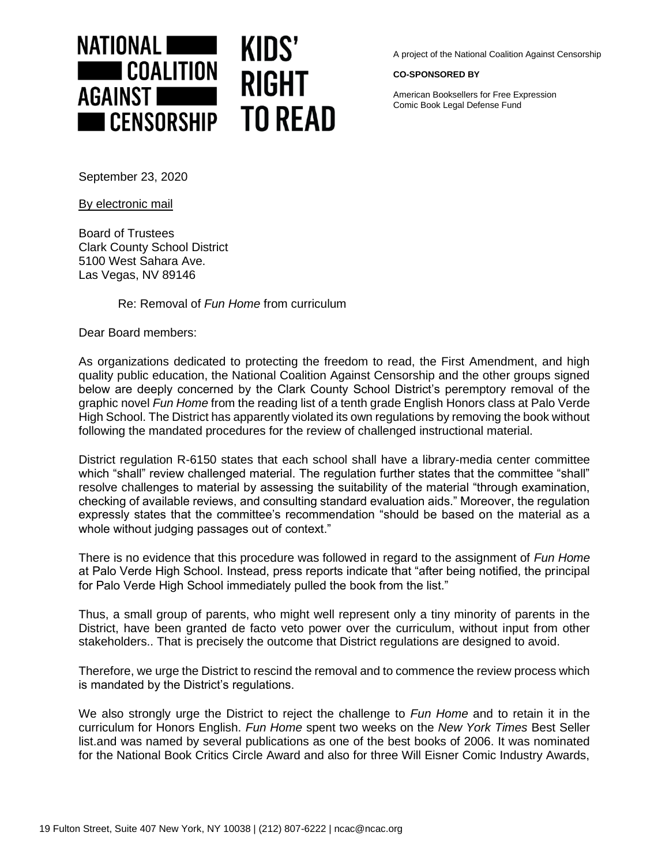

A project of the National Coalition Against Censorship

## **CO-SPONSORED BY**

American Booksellers for Free Expression Comic Book Legal Defense Fund

September 23, 2020

By electronic mail

Board of Trustees Clark County School District 5100 West Sahara Ave. Las Vegas, NV 89146

Re: Removal of *Fun Home* from curriculum

Dear Board members:

As organizations dedicated to protecting the freedom to read, the First Amendment, and high quality public education, the National Coalition Against Censorship and the other groups signed below are deeply concerned by the Clark County School District's peremptory removal of the graphic novel *Fun Home* from the reading list of a tenth grade English Honors class at Palo Verde High School. The District has apparently violated its own regulations by removing the book without following the mandated procedures for the review of challenged instructional material.

District regulation R-6150 states that each school shall have a library-media center committee which "shall" review challenged material. The regulation further states that the committee "shall" resolve challenges to material by assessing the suitability of the material "through examination, checking of available reviews, and consulting standard evaluation aids." Moreover, the regulation expressly states that the committee's recommendation "should be based on the material as a whole without judging passages out of context."

There is no evidence that this procedure was followed in regard to the assignment of *Fun Home* at Palo Verde High School. Instead, press reports indicate that "after being notified, the principal for Palo Verde High School immediately pulled the book from the list."

Thus, a small group of parents, who might well represent only a tiny minority of parents in the District, have been granted de facto veto power over the curriculum, without input from other stakeholders.. That is precisely the outcome that District regulations are designed to avoid.

Therefore, we urge the District to rescind the removal and to commence the review process which is mandated by the District's regulations.

We also strongly urge the District to reject the challenge to *Fun Home* and to retain it in the curriculum for Honors English. *Fun Home* spent two weeks on the *New York Times* Best Seller list.and was named by several publications as one of the best books of 2006. It was nominated for the National Book Critics Circle Award and also for three Will Eisner Comic Industry Awards,